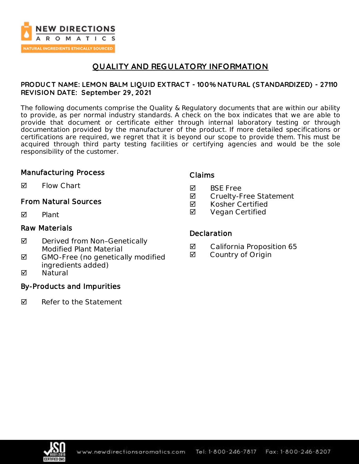

# **QUALITY AND REGULATORY INFORMATION**

## **PRODUC T NAME: LEMON BALM LIQUID EXTRAC T - 100% NATURAL (STANDARDIZED) - 27110 REVISION DATE: September 29, 2021**

The following documents comprise the Quality & Regulatory documents that are within our ability to provide, as per normal industry standards. A check on the box indicates that we are able to provide that document or certificate either through internal laboratory testing or through documentation provided by the manufacturer of the product. If more detailed specifications or certifications are required, we regret that it is beyond our scope to provide them. This must be acquired through third party testing facilities or certifying agencies and would be the sole responsibility of the customer.

## Manufacturing Process

 $\blacksquare$  Flow Chart

## From Natural Sources

 $\nabla$  Plant

## Raw Materials

- ◘ Derived from Non-Genetically Modified Plant Material
- $\boxtimes$  GMO-Free (no genetically modified ingredients added)
- **M** Natural

## By-Products and Impurities

 $\nabla$  Refer to the Statement

## Claims

- **M** BSF Free
- **Ø** Cruelty-Free Statement
- $\boxtimes$  Kosher Certified
- **Ø** Vegan Certified

### **Declaration**

- California Proposition 65
- **Ø** Country of Origin

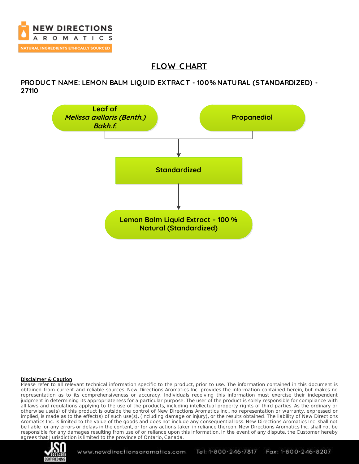

# **FLOW C HART**

**PRODUC T NAME: LEMON BALM LIQUID EXTRAC T - 100% NATURAL (STANDARDIZED) - 27110**



### Disclaimer & Caution

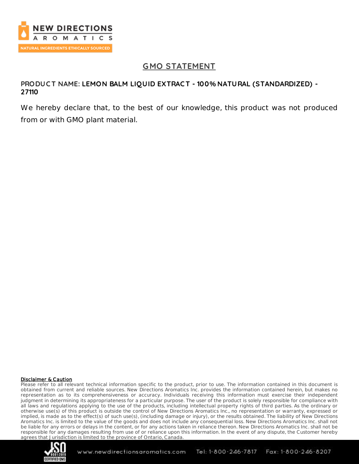

# **GMO STATEMENT**

## **PRODUC T NAME: LEMON BALM LIQUID EXTRAC T - 100% NATURAL (STANDARDIZED) - 27110**

We hereby declare that, to the best of our knowledge, this product was not produced from or with GMO plant material.

#### Disclaimer & Caution

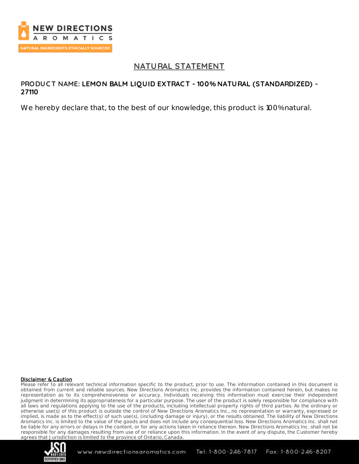

# **NATURAL STATEMENT**

## **PRODUC T NAME: LEMON BALM LIQUID EXTRAC T - 100% NATURAL (STANDARDIZED) - 27110**

We hereby declare that, to the best of our knowledge, this product is 100% natural.

### Disclaimer & Caution

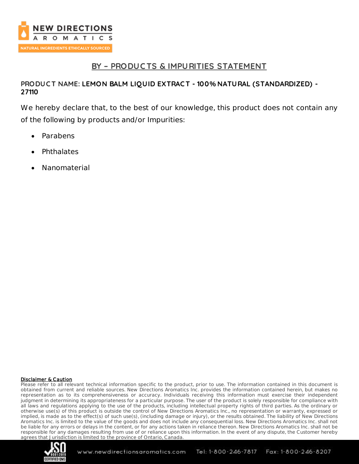

# **BY – PRODUC TS & IMPURITIES STATEMENT**

## **PRODUC T NAME: LEMON BALM LIQUID EXTRAC T - 100% NATURAL (STANDARDIZED) - 27110**

We hereby declare that, to the best of our knowledge, this product does not contain any of the following by products and/or Impurities:

- Parabens
- **Phthalates**
- Nanomaterial

### Disclaimer & Caution

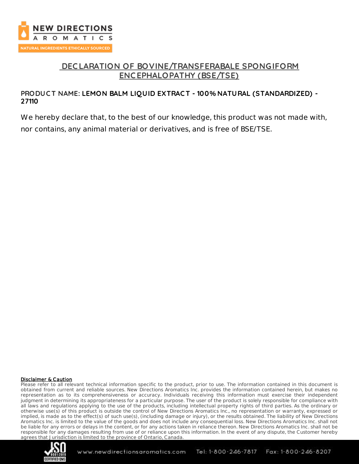

# **DEC LARATION OF BOVINE/TRANSFERABALE SPONGIFORM ENC EPHALOPATHY (BSE/TSE)**

## **PRODUC T NAME: LEMON BALM LIQUID EXTRAC T - 100% NATURAL (STANDARDIZED) - 27110**

We hereby declare that, to the best of our knowledge, this product was not made with, nor contains, any animal material or derivatives, and is free of BSE/TSE.

#### Disclaimer & Caution

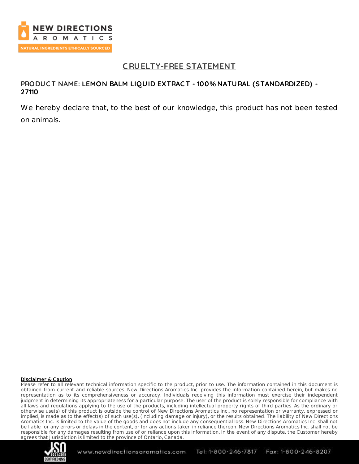

# **C RUELTY-FREE STATEMENT**

## **PRODUC T NAME: LEMON BALM LIQUID EXTRAC T - 100% NATURAL (STANDARDIZED) - 27110**

We hereby declare that, to the best of our knowledge, this product has not been tested on animals.

#### Disclaimer & Caution

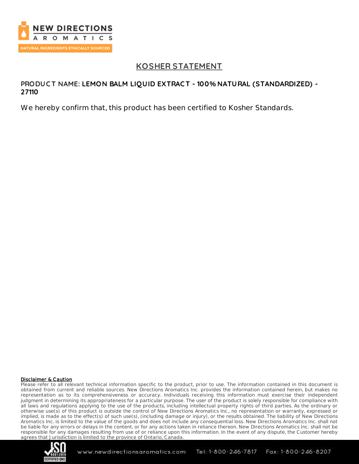

# **KOSHER STATEMENT**

### **PRODUC T NAME: LEMON BALM LIQUID EXTRAC T - 100% NATURAL (STANDARDIZED) - 27110**

We hereby confirm that, this product has been certified to Kosher Standards.

#### Disclaimer & Caution

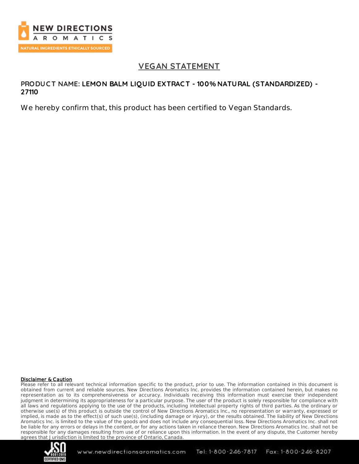

# **VEGAN STATEMENT**

### **PRODUC T NAME: LEMON BALM LIQUID EXTRAC T - 100% NATURAL (STANDARDIZED) - 27110**

We hereby confirm that, this product has been certified to Vegan Standards.

#### Disclaimer & Caution

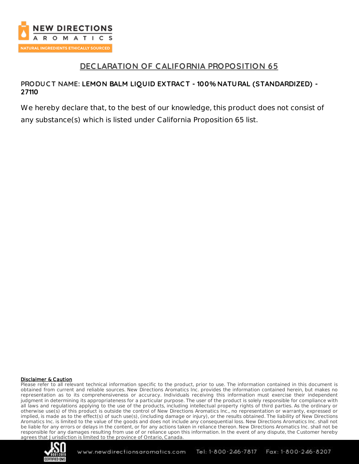

# **DEC LARATION OF CALIFORNIA PROPOSITION 65**

## **PRODUC T NAME: LEMON BALM LIQUID EXTRAC T - 100% NATURAL (STANDARDIZED) - 27110**

We hereby declare that, to the best of our knowledge, this product does not consist of any substance(s) which is listed under California Proposition 65 list.

### Disclaimer & Caution